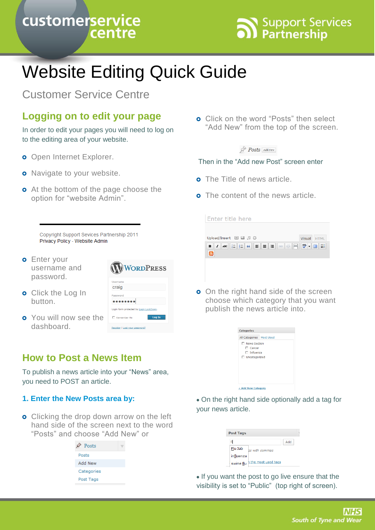# customerservice centre



# Website Editing Quick Guide

Customer Service Centre

# **Logging on to edit your page**

In order to edit your pages you will need to log on to the editing area of your website.

- **o** Open Internet Explorer.
- **o** Navigate to your website.
- **o** At the bottom of the page choose the option for "website Admin".

**o** Click on the word "Posts" then select "Add New" from the top of the screen.

#### $\mathbb{R}$  Posts Add New

#### Then in the "Add new Post" screen enter

- o The Title of news article.
- **o** The content of the news article.

| Enter title here                         |               |
|------------------------------------------|---------------|
| Upload/Insert 国 區 月 章                    | Visual HTML   |
| HE 4 F H 8 8 4 5 0<br>I<br>ABC<br>в<br>வ | $\frac{1}{2}$ |
|                                          |               |

**o** On the right hand side of the screen choose which category that you want publish the news article into.

| □ News Section<br>$\Box$ Cancer<br>$\Box$ Influenza<br>□ Uncategorized | All Categories Most Used |  |
|------------------------------------------------------------------------|--------------------------|--|
|                                                                        |                          |  |
|                                                                        |                          |  |
|                                                                        |                          |  |
|                                                                        |                          |  |
|                                                                        |                          |  |
|                                                                        |                          |  |
|                                                                        |                          |  |
|                                                                        |                          |  |
|                                                                        |                          |  |

On the right hand side optionally add a tag for your news article.

| <b>Post Tags</b>                  |     |  |
|-----------------------------------|-----|--|
|                                   | Add |  |
| Flu Jab<br>as with commas         |     |  |
| influenza                         |     |  |
| h the most used tags<br>swine flu |     |  |

• If you want the post to go live ensure that the visibility is set to "Public" (top right of screen).

Copyright Support Sevices Partnership 2011 Privacy Policy - Website Admin

**o** Enter your username and password.

**o** Click the Log In

dashboard.

button.



**How to Post a News Item**

To publish a news article into your "News" area, you need to POST an article.

#### **1. Enter the New Posts area by:**

**o** Clicking the drop down arrow on the left hand side of the screen next to the word "Posts" and choose "Add New" or

| Posts          |  |
|----------------|--|
| Posts          |  |
| <b>Add New</b> |  |
| Categories     |  |
| Post Tags      |  |
|                |  |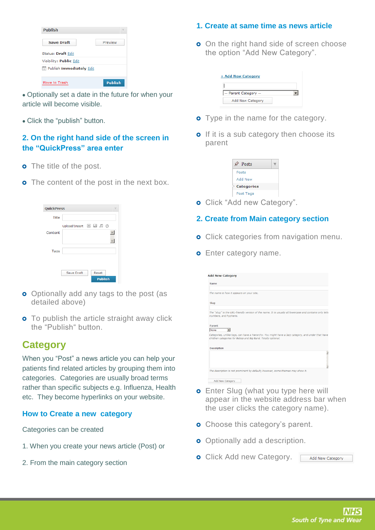| <b>Publish</b>                      |         |
|-------------------------------------|---------|
| <b>Save Draft</b>                   | Preview |
| Status: Draft Edit                  |         |
| Visibility: Public Edit             |         |
| <b>Ext</b> Publish immediately Edit |         |
| Move to Trash                       | Publish |

- Optionally set a date in the future for when your article will become visible.
- Click the "publish" button.

### **2. On the right hand side of the screen in the "QuickPress" area enter**

- **o** The title of the post.
- **o** The content of the post in the next box.

| <b>QuickPress</b> |                       |
|-------------------|-----------------------|
| Title             |                       |
|                   | Upload/Insert 国 品 月 ☆ |
| Content           |                       |
|                   |                       |
| Tags              |                       |
|                   |                       |
|                   | Save Draft<br>Reset   |
|                   | <b>Publish</b>        |

- **o** Optionally add any tags to the post (as detailed above)
- **o** To publish the article straight away click the "Publish" button.

# **Category**

When you "Post" a news article you can help your patients find related articles by grouping them into categories. Categories are usually broad terms rather than specific subjects e.g. Influenza, Health etc. They become hyperlinks on your website.

#### **How to Create a new category**

Categories can be created

- 1. When you create your news article (Post) or
- 2. From the main category section

### **1. Create at same time as news article**

**o** On the right hand side of screen choose the option "Add New Category".

| + Add New Category  |  |
|---------------------|--|
|                     |  |
| - Parent Category - |  |
| Add New Category    |  |

- **o** Type in the name for the category.
- o If it is a sub category then choose its parent

| Posts             |  |
|-------------------|--|
| Posts             |  |
| Add New           |  |
| <b>Categories</b> |  |
| Post Tags         |  |

- **o** Click "Add new Category".
- **2. Create from Main category section**
- **o** Click categories from navigation menu.
- **o** Enter category name.

| Name                  |                                                                                                                                                                     |
|-----------------------|---------------------------------------------------------------------------------------------------------------------------------------------------------------------|
|                       | The name is how it appears on your site.                                                                                                                            |
| Slug                  |                                                                                                                                                                     |
| numbers, and hyphens. | The "slug" is the URL-friendly version of the name. It is usually all lowercase and contains only lette                                                             |
| Parent<br>None        |                                                                                                                                                                     |
|                       | Categories, unlike tags, can have a hierarchy. You might have a Jazz category, and under that have<br>children categories for Bebop and Big Band. Totally optional. |
| <b>Description</b>    |                                                                                                                                                                     |
|                       |                                                                                                                                                                     |
|                       |                                                                                                                                                                     |
|                       |                                                                                                                                                                     |

- **o** Enter Slug (what you type here will appear in the website address bar when the user clicks the category name).
- **o** Choose this category's parent.
- **o** Optionally add a description.
- **o** Click Add new Category.

Add New Category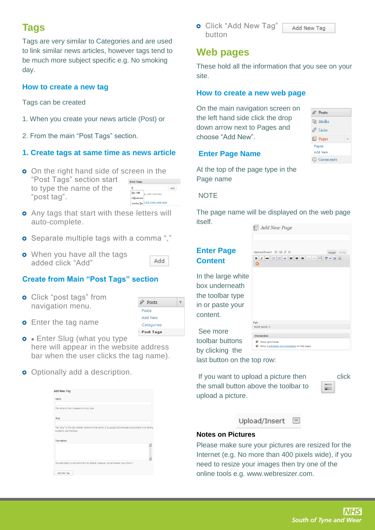# **Tags**

Tags are very similar to Categories and are used to link similar news articles, however tags tend to be much more subject specific e.g. No smoking day.

#### **How to create a new tag**

Tags can be created

- 1. When you create your news article (Post) or
- 2. From the main "Post Tags" section.

#### **1. Create tags at same time as news article**

- **o** On the right hand side of screen in the "Post Tags" section start Post Tags to type the name of the Add  $f$  $E$ lu Jab "post tag". influenza swine flu the most used tags
- **o** Any tags that start with these letters will auto-complete.
- **o** Separate multiple tags with a comma ","
- **o** When you have all the tags added click "Add"

#### **Create from Main "Post Tags" section**

**o** Click "post tags" from navigation menu.



Add

- **o** Enter the tag name
- **o** Enter Slug (what you type here will appear in the website address bar when the user clicks the tag name).
- **o** Optionally add a description.

| <b>Add New Tag</b>                                                                                                                                                                                                                   |  |
|--------------------------------------------------------------------------------------------------------------------------------------------------------------------------------------------------------------------------------------|--|
| Name                                                                                                                                                                                                                                 |  |
|                                                                                                                                                                                                                                      |  |
| The name is how it appears on your site.                                                                                                                                                                                             |  |
|                                                                                                                                                                                                                                      |  |
| Slug                                                                                                                                                                                                                                 |  |
|                                                                                                                                                                                                                                      |  |
|                                                                                                                                                                                                                                      |  |
|                                                                                                                                                                                                                                      |  |
|                                                                                                                                                                                                                                      |  |
|                                                                                                                                                                                                                                      |  |
|                                                                                                                                                                                                                                      |  |
| The "slug" is the URL-friendly version of the name. It is usually all lowercase and contains only letters,<br>numbers, and hyphens.<br>Description<br>The description is not prominent by default; however, some themes may show it. |  |

**o** Click "Add New Tag" button

## **Web pages**

These hold all the information that you see on your site.

#### **How to create a new web page**

On the main navigation screen on the left hand side click the drop down arrow next to Pages and choose "Add New".

#### **Enter Page Name**

At the top of the page type in the Page name

#### **NOTE**

The page name will be displayed on the web page itself.  $\mathbb{R}$  Add Now Page

See more toolbar buttor by clicking the last button on the top row:

upload a picture.

If you want to upload a picture then click

the small button above the toolbar to

**SHOP** 

Upload/Insert  $\equiv$ 

#### **Notes on Pictures**

Please make sure your pictures are resized for the Internet (e.g. No more than 400 pixels wide), if you need to resize your images then try one of the online tools e.g. www.webresizer.com.



 $\mathcal{P}$  Posts **mg** Media  $\mathscr{P}$  Links **Pages** Pages Add Nev  $\bigoplus$  Comments